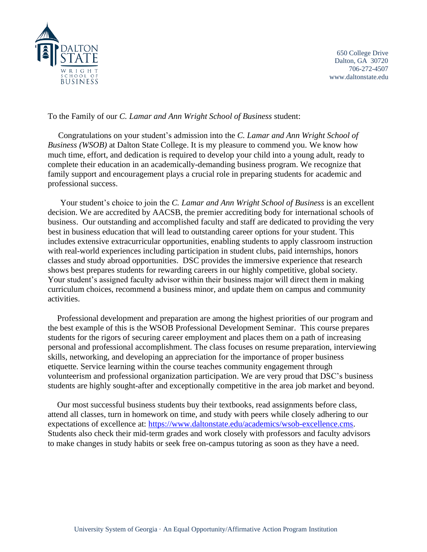

650 College Drive Dalton, GA 30720 706-272-4507 www.daltonstate.edu

## To the Family of our *C. Lamar and Ann Wright School of Business* student:

 Congratulations on your student's admission into the *C. Lamar and Ann Wright School of Business (WSOB)* at Dalton State College. It is my pleasure to commend you. We know how much time, effort, and dedication is required to develop your child into a young adult, ready to complete their education in an academically-demanding business program. We recognize that family support and encouragement plays a crucial role in preparing students for academic and professional success.

Your student's choice to join the *C. Lamar and Ann Wright School of Business* is an excellent decision. We are accredited by AACSB, the premier accrediting body for international schools of business. Our outstanding and accomplished faculty and staff are dedicated to providing the very best in business education that will lead to outstanding career options for your student. This includes extensive extracurricular opportunities, enabling students to apply classroom instruction with real-world experiences including participation in student clubs, paid internships, honors classes and study abroad opportunities. DSC provides the immersive experience that research shows best prepares students for rewarding careers in our highly competitive, global society. Your student's assigned faculty advisor within their business major will direct them in making curriculum choices, recommend a business minor, and update them on campus and community activities.

Professional development and preparation are among the highest priorities of our program and the best example of this is the WSOB Professional Development Seminar. This course prepares students for the rigors of securing career employment and places them on a path of increasing personal and professional accomplishment. The class focuses on resume preparation, interviewing skills, networking, and developing an appreciation for the importance of proper business etiquette. Service learning within the course teaches community engagement through volunteerism and professional organization participation. We are very proud that DSC's business students are highly sought-after and exceptionally competitive in the area job market and beyond.

Our most successful business students buy their textbooks, read assignments before class, attend all classes, turn in homework on time, and study with peers while closely adhering to our expectations of excellence at: https://www.daltonstate.edu/academics/wsob-excellence.cms. Students also check their mid-term grades and work closely with professors and faculty advisors to make changes in study habits or seek free on-campus tutoring as soon as they have a need.